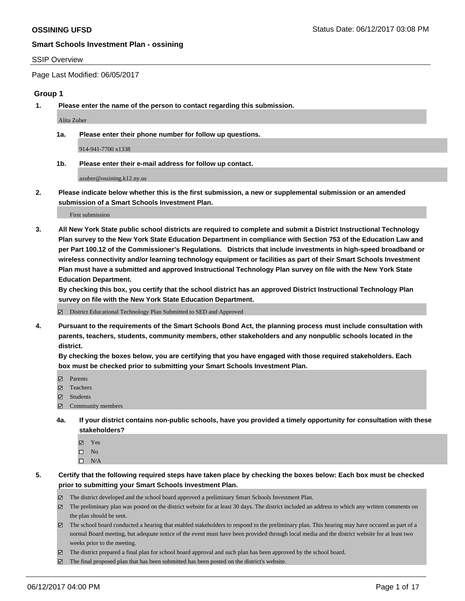#### SSIP Overview

Page Last Modified: 06/05/2017

## **Group 1**

**1. Please enter the name of the person to contact regarding this submission.**

Alita Zuber

**1a. Please enter their phone number for follow up questions.**

914-941-7700 x1338

**1b. Please enter their e-mail address for follow up contact.**

azuber@ossining.k12.ny.us

**2. Please indicate below whether this is the first submission, a new or supplemental submission or an amended submission of a Smart Schools Investment Plan.**

First submission

**3. All New York State public school districts are required to complete and submit a District Instructional Technology Plan survey to the New York State Education Department in compliance with Section 753 of the Education Law and per Part 100.12 of the Commissioner's Regulations. Districts that include investments in high-speed broadband or wireless connectivity and/or learning technology equipment or facilities as part of their Smart Schools Investment Plan must have a submitted and approved Instructional Technology Plan survey on file with the New York State Education Department.** 

**By checking this box, you certify that the school district has an approved District Instructional Technology Plan survey on file with the New York State Education Department.**

District Educational Technology Plan Submitted to SED and Approved

**4. Pursuant to the requirements of the Smart Schools Bond Act, the planning process must include consultation with parents, teachers, students, community members, other stakeholders and any nonpublic schools located in the district.** 

**By checking the boxes below, you are certifying that you have engaged with those required stakeholders. Each box must be checked prior to submitting your Smart Schools Investment Plan.**

- **マ** Parents
- □ Teachers
- Students
- $\Xi$  Community members
- **4a. If your district contains non-public schools, have you provided a timely opportunity for consultation with these stakeholders?**
	- Yes
	- $\hfill \square$  No
	- $\square$  N/A
- **5. Certify that the following required steps have taken place by checking the boxes below: Each box must be checked prior to submitting your Smart Schools Investment Plan.**
	- The district developed and the school board approved a preliminary Smart Schools Investment Plan.
	- $\boxtimes$  The preliminary plan was posted on the district website for at least 30 days. The district included an address to which any written comments on the plan should be sent.
	- $\boxtimes$  The school board conducted a hearing that enabled stakeholders to respond to the preliminary plan. This hearing may have occured as part of a normal Board meeting, but adequate notice of the event must have been provided through local media and the district website for at least two weeks prior to the meeting.
	- The district prepared a final plan for school board approval and such plan has been approved by the school board.
	- $\boxtimes$  The final proposed plan that has been submitted has been posted on the district's website.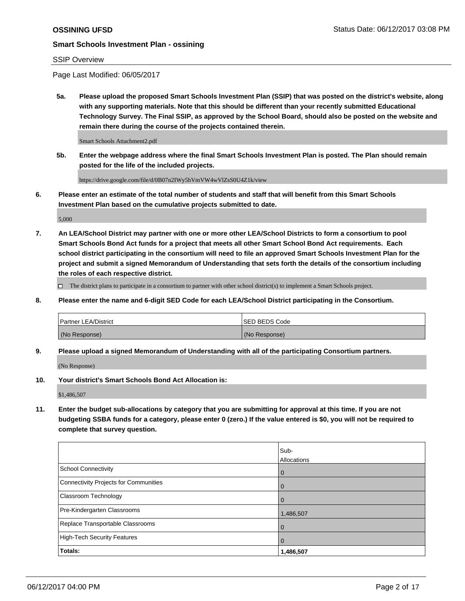# SSIP Overview

Page Last Modified: 06/05/2017

**5a. Please upload the proposed Smart Schools Investment Plan (SSIP) that was posted on the district's website, along with any supporting materials. Note that this should be different than your recently submitted Educational Technology Survey. The Final SSIP, as approved by the School Board, should also be posted on the website and remain there during the course of the projects contained therein.**

Smart Schools Attachment2.pdf

**5b. Enter the webpage address where the final Smart Schools Investment Plan is posted. The Plan should remain posted for the life of the included projects.**

https://drive.google.com/file/d/0B07n2IWy5hVmVW4wVlZsS0U4Z1k/view

**6. Please enter an estimate of the total number of students and staff that will benefit from this Smart Schools Investment Plan based on the cumulative projects submitted to date.**

5,000

**7. An LEA/School District may partner with one or more other LEA/School Districts to form a consortium to pool Smart Schools Bond Act funds for a project that meets all other Smart School Bond Act requirements. Each school district participating in the consortium will need to file an approved Smart Schools Investment Plan for the project and submit a signed Memorandum of Understanding that sets forth the details of the consortium including the roles of each respective district.**

 $\Box$  The district plans to participate in a consortium to partner with other school district(s) to implement a Smart Schools project.

**8. Please enter the name and 6-digit SED Code for each LEA/School District participating in the Consortium.**

| <b>Partner LEA/District</b> | <b>ISED BEDS Code</b> |
|-----------------------------|-----------------------|
| (No Response)               | (No Response)         |

**9. Please upload a signed Memorandum of Understanding with all of the participating Consortium partners.**

(No Response)

**10. Your district's Smart Schools Bond Act Allocation is:**

\$1,486,507

**11. Enter the budget sub-allocations by category that you are submitting for approval at this time. If you are not budgeting SSBA funds for a category, please enter 0 (zero.) If the value entered is \$0, you will not be required to complete that survey question.**

|                                              | Sub-<br>Allocations |
|----------------------------------------------|---------------------|
| <b>School Connectivity</b>                   | $\overline{0}$      |
| <b>Connectivity Projects for Communities</b> | $\overline{0}$      |
| Classroom Technology                         | $\overline{0}$      |
| Pre-Kindergarten Classrooms                  | 1,486,507           |
| Replace Transportable Classrooms             | $\mathbf 0$         |
| <b>High-Tech Security Features</b>           | $\overline{0}$      |
| Totals:                                      | 1,486,507           |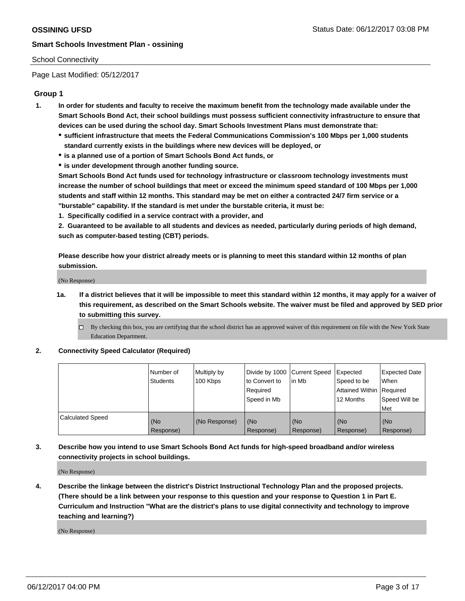## School Connectivity

Page Last Modified: 05/12/2017

# **Group 1**

- **1. In order for students and faculty to receive the maximum benefit from the technology made available under the Smart Schools Bond Act, their school buildings must possess sufficient connectivity infrastructure to ensure that devices can be used during the school day. Smart Schools Investment Plans must demonstrate that:**
	- **sufficient infrastructure that meets the Federal Communications Commission's 100 Mbps per 1,000 students standard currently exists in the buildings where new devices will be deployed, or**
	- **is a planned use of a portion of Smart Schools Bond Act funds, or**
	- **is under development through another funding source.**

**Smart Schools Bond Act funds used for technology infrastructure or classroom technology investments must increase the number of school buildings that meet or exceed the minimum speed standard of 100 Mbps per 1,000 students and staff within 12 months. This standard may be met on either a contracted 24/7 firm service or a "burstable" capability. If the standard is met under the burstable criteria, it must be:**

**1. Specifically codified in a service contract with a provider, and**

**2. Guaranteed to be available to all students and devices as needed, particularly during periods of high demand, such as computer-based testing (CBT) periods.**

**Please describe how your district already meets or is planning to meet this standard within 12 months of plan submission.**

(No Response)

- **1a. If a district believes that it will be impossible to meet this standard within 12 months, it may apply for a waiver of this requirement, as described on the Smart Schools website. The waiver must be filed and approved by SED prior to submitting this survey.**
	- By checking this box, you are certifying that the school district has an approved waiver of this requirement on file with the New York State Education Department.

### **2. Connectivity Speed Calculator (Required)**

|                         | l Number of<br><b>Students</b> | Multiply by<br>100 Kbps | Divide by 1000   Current Speed<br>to Convert to<br>Required<br>l Speed in Mb | in Mb            | Expected<br>Speed to be<br>Attained Within Required<br>12 Months | <b>Expected Date</b><br>When<br>Speed Will be<br><b>Met</b> |
|-------------------------|--------------------------------|-------------------------|------------------------------------------------------------------------------|------------------|------------------------------------------------------------------|-------------------------------------------------------------|
| <b>Calculated Speed</b> | (No<br>Response)               | (No Response)           | (No<br>Response)                                                             | (No<br>Response) | (No<br>Response)                                                 | l (No<br>Response)                                          |

# **3. Describe how you intend to use Smart Schools Bond Act funds for high-speed broadband and/or wireless connectivity projects in school buildings.**

(No Response)

**4. Describe the linkage between the district's District Instructional Technology Plan and the proposed projects. (There should be a link between your response to this question and your response to Question 1 in Part E. Curriculum and Instruction "What are the district's plans to use digital connectivity and technology to improve teaching and learning?)**

(No Response)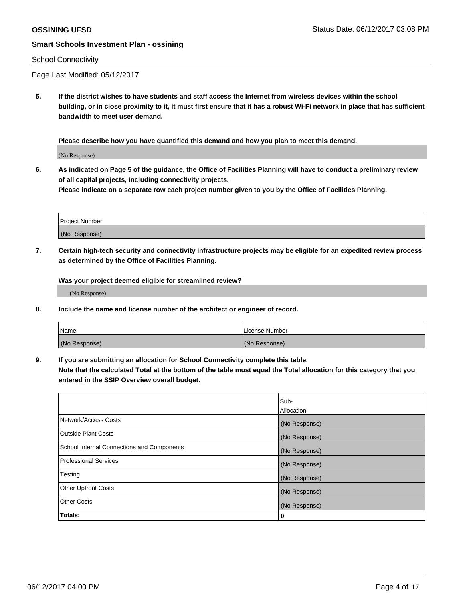#### School Connectivity

Page Last Modified: 05/12/2017

**5. If the district wishes to have students and staff access the Internet from wireless devices within the school building, or in close proximity to it, it must first ensure that it has a robust Wi-Fi network in place that has sufficient bandwidth to meet user demand.**

**Please describe how you have quantified this demand and how you plan to meet this demand.**

(No Response)

**6. As indicated on Page 5 of the guidance, the Office of Facilities Planning will have to conduct a preliminary review of all capital projects, including connectivity projects.**

**Please indicate on a separate row each project number given to you by the Office of Facilities Planning.**

| Project Number |  |
|----------------|--|
|                |  |
| (No Response)  |  |

**7. Certain high-tech security and connectivity infrastructure projects may be eligible for an expedited review process as determined by the Office of Facilities Planning.**

**Was your project deemed eligible for streamlined review?**

(No Response)

**8. Include the name and license number of the architect or engineer of record.**

| Name          | License Number |
|---------------|----------------|
| (No Response) | (No Response)  |

**9. If you are submitting an allocation for School Connectivity complete this table.**

**Note that the calculated Total at the bottom of the table must equal the Total allocation for this category that you entered in the SSIP Overview overall budget.** 

|                                            | Sub-          |
|--------------------------------------------|---------------|
|                                            | Allocation    |
| Network/Access Costs                       | (No Response) |
| Outside Plant Costs                        | (No Response) |
| School Internal Connections and Components | (No Response) |
| <b>Professional Services</b>               | (No Response) |
| Testing                                    | (No Response) |
| <b>Other Upfront Costs</b>                 | (No Response) |
| <b>Other Costs</b>                         | (No Response) |
| Totals:                                    | 0             |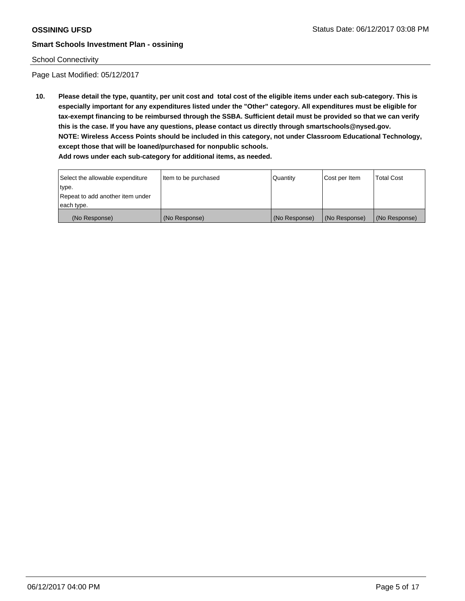## School Connectivity

Page Last Modified: 05/12/2017

**10. Please detail the type, quantity, per unit cost and total cost of the eligible items under each sub-category. This is especially important for any expenditures listed under the "Other" category. All expenditures must be eligible for tax-exempt financing to be reimbursed through the SSBA. Sufficient detail must be provided so that we can verify this is the case. If you have any questions, please contact us directly through smartschools@nysed.gov. NOTE: Wireless Access Points should be included in this category, not under Classroom Educational Technology, except those that will be loaned/purchased for nonpublic schools.**

| Select the allowable expenditure | Item to be purchased | Quantity      | Cost per Item | Total Cost    |
|----------------------------------|----------------------|---------------|---------------|---------------|
| type.                            |                      |               |               |               |
| Repeat to add another item under |                      |               |               |               |
| each type.                       |                      |               |               |               |
| (No Response)                    | (No Response)        | (No Response) | (No Response) | (No Response) |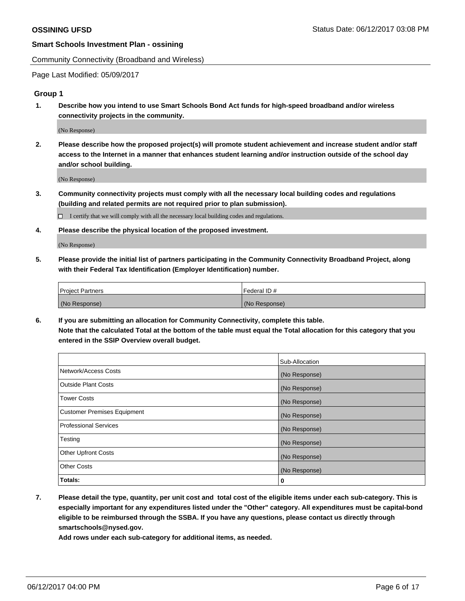Community Connectivity (Broadband and Wireless)

Page Last Modified: 05/09/2017

## **Group 1**

**1. Describe how you intend to use Smart Schools Bond Act funds for high-speed broadband and/or wireless connectivity projects in the community.**

(No Response)

**2. Please describe how the proposed project(s) will promote student achievement and increase student and/or staff access to the Internet in a manner that enhances student learning and/or instruction outside of the school day and/or school building.**

(No Response)

**3. Community connectivity projects must comply with all the necessary local building codes and regulations (building and related permits are not required prior to plan submission).**

 $\Box$  I certify that we will comply with all the necessary local building codes and regulations.

**4. Please describe the physical location of the proposed investment.**

(No Response)

**5. Please provide the initial list of partners participating in the Community Connectivity Broadband Project, along with their Federal Tax Identification (Employer Identification) number.**

| <b>Project Partners</b> | <sup>I</sup> Federal ID # |
|-------------------------|---------------------------|
| (No Response)           | (No Response)             |

**6. If you are submitting an allocation for Community Connectivity, complete this table. Note that the calculated Total at the bottom of the table must equal the Total allocation for this category that you entered in the SSIP Overview overall budget.**

|                                    | Sub-Allocation |
|------------------------------------|----------------|
| Network/Access Costs               | (No Response)  |
| Outside Plant Costs                | (No Response)  |
| <b>Tower Costs</b>                 | (No Response)  |
| <b>Customer Premises Equipment</b> | (No Response)  |
| <b>Professional Services</b>       | (No Response)  |
| Testing                            | (No Response)  |
| <b>Other Upfront Costs</b>         | (No Response)  |
| <b>Other Costs</b>                 | (No Response)  |
| Totals:                            | 0              |

**7. Please detail the type, quantity, per unit cost and total cost of the eligible items under each sub-category. This is especially important for any expenditures listed under the "Other" category. All expenditures must be capital-bond eligible to be reimbursed through the SSBA. If you have any questions, please contact us directly through smartschools@nysed.gov.**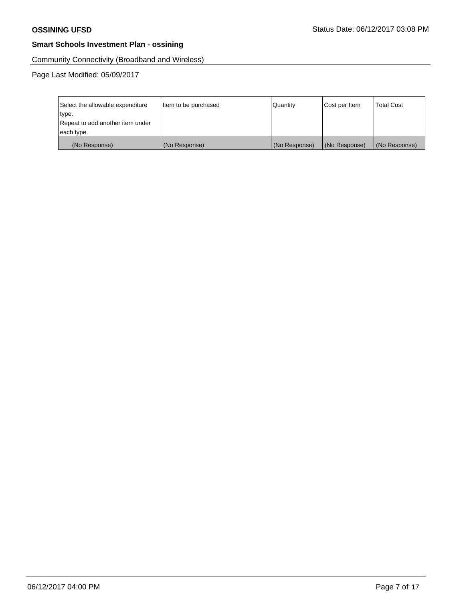Community Connectivity (Broadband and Wireless)

Page Last Modified: 05/09/2017

| Select the allowable expenditure<br>type.<br>Repeat to add another item under | Item to be purchased | Quantity      | Cost per Item | <b>Total Cost</b> |
|-------------------------------------------------------------------------------|----------------------|---------------|---------------|-------------------|
| each type.                                                                    |                      |               |               |                   |
| (No Response)                                                                 | (No Response)        | (No Response) | (No Response) | (No Response)     |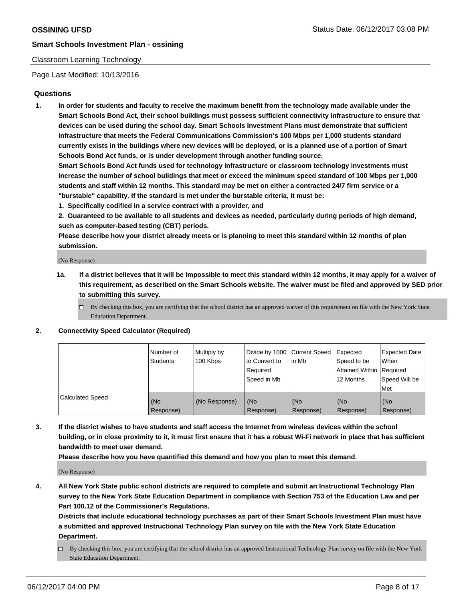# Classroom Learning Technology

Page Last Modified: 10/13/2016

# **Questions**

**1. In order for students and faculty to receive the maximum benefit from the technology made available under the Smart Schools Bond Act, their school buildings must possess sufficient connectivity infrastructure to ensure that devices can be used during the school day. Smart Schools Investment Plans must demonstrate that sufficient infrastructure that meets the Federal Communications Commission's 100 Mbps per 1,000 students standard currently exists in the buildings where new devices will be deployed, or is a planned use of a portion of Smart Schools Bond Act funds, or is under development through another funding source.**

**Smart Schools Bond Act funds used for technology infrastructure or classroom technology investments must increase the number of school buildings that meet or exceed the minimum speed standard of 100 Mbps per 1,000 students and staff within 12 months. This standard may be met on either a contracted 24/7 firm service or a "burstable" capability. If the standard is met under the burstable criteria, it must be:**

- **1. Specifically codified in a service contract with a provider, and**
- **2. Guaranteed to be available to all students and devices as needed, particularly during periods of high demand, such as computer-based testing (CBT) periods.**

**Please describe how your district already meets or is planning to meet this standard within 12 months of plan submission.**

(No Response)

- **1a. If a district believes that it will be impossible to meet this standard within 12 months, it may apply for a waiver of this requirement, as described on the Smart Schools website. The waiver must be filed and approved by SED prior to submitting this survey.**
	- $\Box$  By checking this box, you are certifying that the school district has an approved waiver of this requirement on file with the New York State Education Department.

### **2. Connectivity Speed Calculator (Required)**

|                         | l Number of<br>Students | Multiply by<br>100 Kbps | Divide by 1000   Current Speed<br>to Convert to<br>Required<br>Speed in Mb | l in Mb          | Expected<br>Speed to be<br>Attained Within Required<br>12 Months | <b>Expected Date</b><br>When<br>Speed Will be<br>Met |
|-------------------------|-------------------------|-------------------------|----------------------------------------------------------------------------|------------------|------------------------------------------------------------------|------------------------------------------------------|
| <b>Calculated Speed</b> | (No<br>Response)        | (No Response)           | (No<br>Response)                                                           | (No<br>Response) | (No<br>Response)                                                 | (No<br>Response)                                     |

**3. If the district wishes to have students and staff access the Internet from wireless devices within the school building, or in close proximity to it, it must first ensure that it has a robust Wi-Fi network in place that has sufficient bandwidth to meet user demand.**

**Please describe how you have quantified this demand and how you plan to meet this demand.**

(No Response)

**4. All New York State public school districts are required to complete and submit an Instructional Technology Plan survey to the New York State Education Department in compliance with Section 753 of the Education Law and per Part 100.12 of the Commissioner's Regulations.**

**Districts that include educational technology purchases as part of their Smart Schools Investment Plan must have a submitted and approved Instructional Technology Plan survey on file with the New York State Education Department.**

 $\Box$  By checking this box, you are certifying that the school district has an approved Instructional Technology Plan survey on file with the New York State Education Department.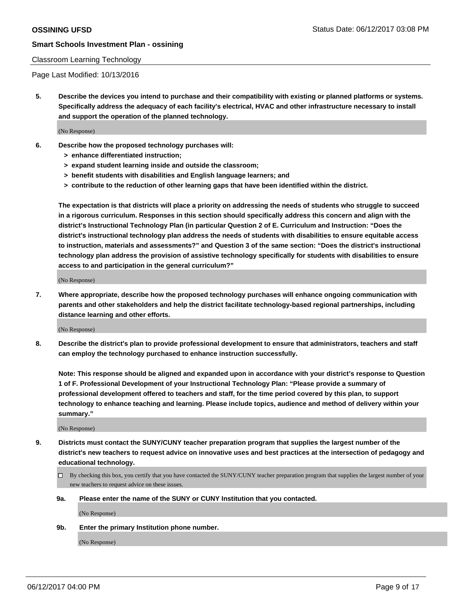#### Classroom Learning Technology

Page Last Modified: 10/13/2016

**5. Describe the devices you intend to purchase and their compatibility with existing or planned platforms or systems. Specifically address the adequacy of each facility's electrical, HVAC and other infrastructure necessary to install and support the operation of the planned technology.**

(No Response)

- **6. Describe how the proposed technology purchases will:**
	- **> enhance differentiated instruction;**
	- **> expand student learning inside and outside the classroom;**
	- **> benefit students with disabilities and English language learners; and**
	- **> contribute to the reduction of other learning gaps that have been identified within the district.**

**The expectation is that districts will place a priority on addressing the needs of students who struggle to succeed in a rigorous curriculum. Responses in this section should specifically address this concern and align with the district's Instructional Technology Plan (in particular Question 2 of E. Curriculum and Instruction: "Does the district's instructional technology plan address the needs of students with disabilities to ensure equitable access to instruction, materials and assessments?" and Question 3 of the same section: "Does the district's instructional technology plan address the provision of assistive technology specifically for students with disabilities to ensure access to and participation in the general curriculum?"**

(No Response)

**7. Where appropriate, describe how the proposed technology purchases will enhance ongoing communication with parents and other stakeholders and help the district facilitate technology-based regional partnerships, including distance learning and other efforts.**

(No Response)

**8. Describe the district's plan to provide professional development to ensure that administrators, teachers and staff can employ the technology purchased to enhance instruction successfully.**

**Note: This response should be aligned and expanded upon in accordance with your district's response to Question 1 of F. Professional Development of your Instructional Technology Plan: "Please provide a summary of professional development offered to teachers and staff, for the time period covered by this plan, to support technology to enhance teaching and learning. Please include topics, audience and method of delivery within your summary."**

(No Response)

- **9. Districts must contact the SUNY/CUNY teacher preparation program that supplies the largest number of the district's new teachers to request advice on innovative uses and best practices at the intersection of pedagogy and educational technology.**
	- By checking this box, you certify that you have contacted the SUNY/CUNY teacher preparation program that supplies the largest number of your new teachers to request advice on these issues.
	- **9a. Please enter the name of the SUNY or CUNY Institution that you contacted.**

(No Response)

**9b. Enter the primary Institution phone number.**

(No Response)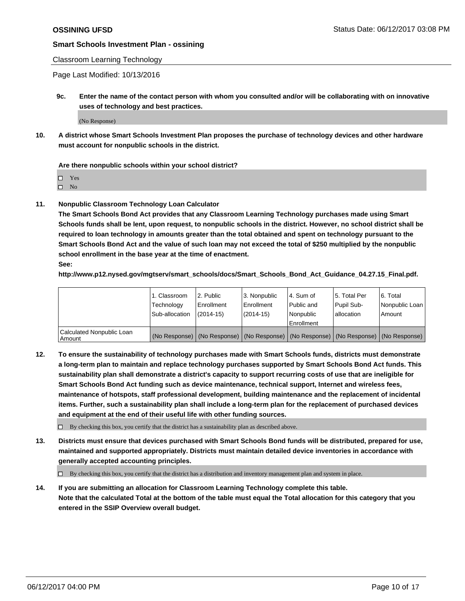## Classroom Learning Technology

Page Last Modified: 10/13/2016

**9c. Enter the name of the contact person with whom you consulted and/or will be collaborating with on innovative uses of technology and best practices.**

(No Response)

**10. A district whose Smart Schools Investment Plan proposes the purchase of technology devices and other hardware must account for nonpublic schools in the district.**

**Are there nonpublic schools within your school district?**

Yes

 $\square$  No

**11. Nonpublic Classroom Technology Loan Calculator**

**The Smart Schools Bond Act provides that any Classroom Learning Technology purchases made using Smart Schools funds shall be lent, upon request, to nonpublic schools in the district. However, no school district shall be required to loan technology in amounts greater than the total obtained and spent on technology pursuant to the Smart Schools Bond Act and the value of such loan may not exceed the total of \$250 multiplied by the nonpublic school enrollment in the base year at the time of enactment.**

**See:**

**http://www.p12.nysed.gov/mgtserv/smart\_schools/docs/Smart\_Schools\_Bond\_Act\_Guidance\_04.27.15\_Final.pdf.**

|                                       | 1. Classroom   | l 2. Public   | 3. Nonpublic | l 4. Sum of | 15. Total Per                                                                                 | 6. Total       |
|---------------------------------------|----------------|---------------|--------------|-------------|-----------------------------------------------------------------------------------------------|----------------|
|                                       | Technology     | Enrollment    | Enrollment   | Public and  | Pupil Sub-                                                                                    | Nonpublic Loan |
|                                       | Sub-allocation | $(2014 - 15)$ | $(2014-15)$  | l Nonpublic | allocation                                                                                    | Amount         |
|                                       |                |               |              | Enrollment  |                                                                                               |                |
| Calculated Nonpublic Loan<br>  Amount |                |               |              |             | (No Response)   (No Response)   (No Response)   (No Response)   (No Response)   (No Response) |                |

**12. To ensure the sustainability of technology purchases made with Smart Schools funds, districts must demonstrate a long-term plan to maintain and replace technology purchases supported by Smart Schools Bond Act funds. This sustainability plan shall demonstrate a district's capacity to support recurring costs of use that are ineligible for Smart Schools Bond Act funding such as device maintenance, technical support, Internet and wireless fees, maintenance of hotspots, staff professional development, building maintenance and the replacement of incidental items. Further, such a sustainability plan shall include a long-term plan for the replacement of purchased devices and equipment at the end of their useful life with other funding sources.**

 $\Box$  By checking this box, you certify that the district has a sustainability plan as described above.

**13. Districts must ensure that devices purchased with Smart Schools Bond funds will be distributed, prepared for use, maintained and supported appropriately. Districts must maintain detailed device inventories in accordance with generally accepted accounting principles.**

By checking this box, you certify that the district has a distribution and inventory management plan and system in place.

**14. If you are submitting an allocation for Classroom Learning Technology complete this table. Note that the calculated Total at the bottom of the table must equal the Total allocation for this category that you entered in the SSIP Overview overall budget.**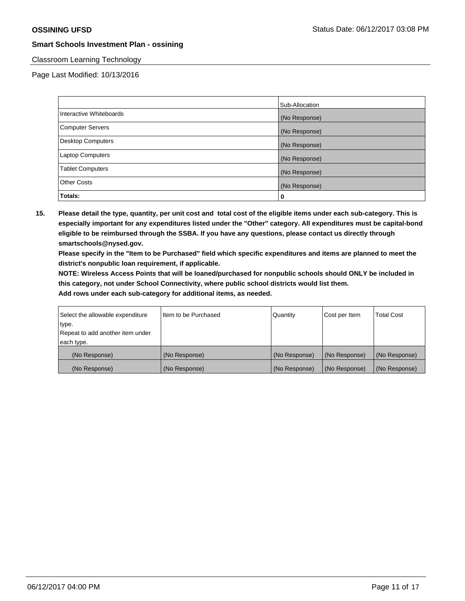# Classroom Learning Technology

Page Last Modified: 10/13/2016

|                          | Sub-Allocation |
|--------------------------|----------------|
| Interactive Whiteboards  | (No Response)  |
| Computer Servers         | (No Response)  |
| <b>Desktop Computers</b> | (No Response)  |
| <b>Laptop Computers</b>  | (No Response)  |
| <b>Tablet Computers</b>  | (No Response)  |
| <b>Other Costs</b>       | (No Response)  |
| Totals:                  | 0              |

**15. Please detail the type, quantity, per unit cost and total cost of the eligible items under each sub-category. This is especially important for any expenditures listed under the "Other" category. All expenditures must be capital-bond eligible to be reimbursed through the SSBA. If you have any questions, please contact us directly through smartschools@nysed.gov.**

**Please specify in the "Item to be Purchased" field which specific expenditures and items are planned to meet the district's nonpublic loan requirement, if applicable.**

**NOTE: Wireless Access Points that will be loaned/purchased for nonpublic schools should ONLY be included in this category, not under School Connectivity, where public school districts would list them.**

| Select the allowable expenditure | Item to be Purchased | Quantity      | Cost per Item | <b>Total Cost</b> |
|----------------------------------|----------------------|---------------|---------------|-------------------|
| type.                            |                      |               |               |                   |
| Repeat to add another item under |                      |               |               |                   |
| each type.                       |                      |               |               |                   |
| (No Response)                    | (No Response)        | (No Response) | (No Response) | (No Response)     |
| (No Response)                    | (No Response)        | (No Response) | (No Response) | (No Response)     |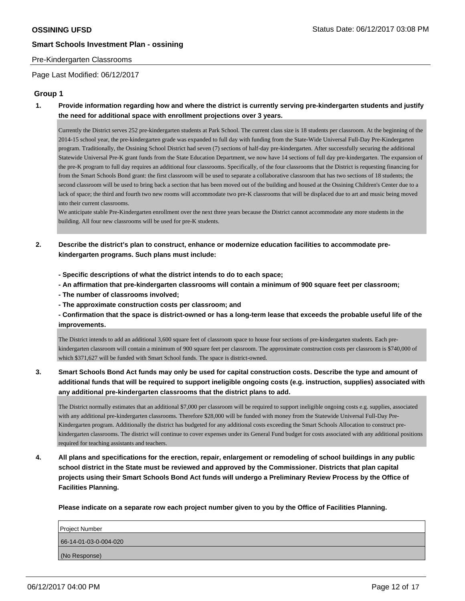#### Pre-Kindergarten Classrooms

Page Last Modified: 06/12/2017

## **Group 1**

**1. Provide information regarding how and where the district is currently serving pre-kindergarten students and justify the need for additional space with enrollment projections over 3 years.**

Currently the District serves 252 pre-kindergarten students at Park School. The current class size is 18 students per classroom. At the beginning of the 2014-15 school year, the pre-kindergarten grade was expanded to full day with funding from the State-Wide Universal Full-Day Pre-Kindergarten program. Traditionally, the Ossining School District had seven (7) sections of half-day pre-kindergarten. After successfully securing the additional Statewide Universal Pre-K grant funds from the State Education Department, we now have 14 sections of full day pre-kindergarten. The expansion of the pre-K program to full day requires an additional four classrooms. Specifically, of the four classrooms that the District is requesting financing for from the Smart Schools Bond grant: the first classroom will be used to separate a collaborative classroom that has two sections of 18 students; the second classroom will be used to bring back a section that has been moved out of the building and housed at the Ossining Children's Center due to a lack of space; the third and fourth two new rooms will accommodate two pre-K classrooms that will be displaced due to art and music being moved into their current classrooms.

We anticipate stable Pre-Kindergarten enrollment over the next three years because the District cannot accommodate any more students in the building. All four new classrooms will be used for pre-K students.

- **2. Describe the district's plan to construct, enhance or modernize education facilities to accommodate prekindergarten programs. Such plans must include:**
	- **Specific descriptions of what the district intends to do to each space;**
	- **An affirmation that pre-kindergarten classrooms will contain a minimum of 900 square feet per classroom;**
	- **The number of classrooms involved;**
	- **The approximate construction costs per classroom; and**
	- **Confirmation that the space is district-owned or has a long-term lease that exceeds the probable useful life of the improvements.**

The District intends to add an additional 3,600 square feet of classroom space to house four sections of pre-kindergarten students. Each prekindergarten classroom will contain a minimum of 900 square feet per classroom. The approximate construction costs per classroom is \$740,000 of which \$371,627 will be funded with Smart School funds. The space is district-owned.

# **3. Smart Schools Bond Act funds may only be used for capital construction costs. Describe the type and amount of additional funds that will be required to support ineligible ongoing costs (e.g. instruction, supplies) associated with any additional pre-kindergarten classrooms that the district plans to add.**

The District normally estimates that an additional \$7,000 per classroom will be required to support ineligible ongoing costs e.g. supplies, associated with any additional pre-kindergarten classrooms. Therefore \$28,000 will be funded with money from the Statewide Universal Full-Day Pre-Kindergarten program. Additionally the district has budgeted for any additional costs exceeding the Smart Schools Allocation to construct prekindergarten classrooms. The district will continue to cover expenses under its General Fund budget for costs associated with any additional positions required for teaching assistants and teachers.

**4. All plans and specifications for the erection, repair, enlargement or remodeling of school buildings in any public school district in the State must be reviewed and approved by the Commissioner. Districts that plan capital projects using their Smart Schools Bond Act funds will undergo a Preliminary Review Process by the Office of Facilities Planning.**

**Please indicate on a separate row each project number given to you by the Office of Facilities Planning.**

| Project Number        |  |
|-----------------------|--|
| 66-14-01-03-0-004-020 |  |
| (No Response)         |  |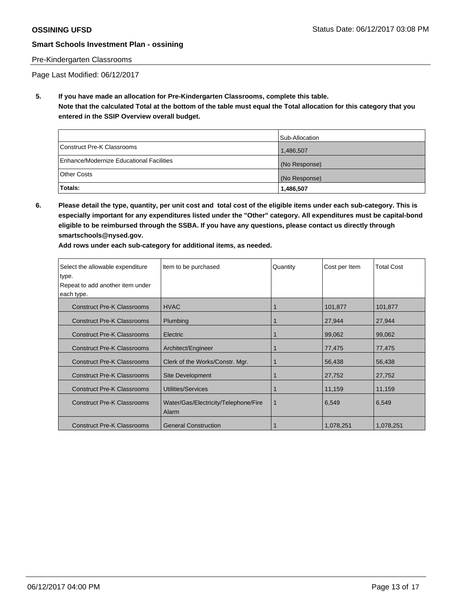### Pre-Kindergarten Classrooms

Page Last Modified: 06/12/2017

**5. If you have made an allocation for Pre-Kindergarten Classrooms, complete this table. Note that the calculated Total at the bottom of the table must equal the Total allocation for this category that you entered in the SSIP Overview overall budget.**

|                                          | Sub-Allocation |
|------------------------------------------|----------------|
| Construct Pre-K Classrooms               | 1,486,507      |
| Enhance/Modernize Educational Facilities | (No Response)  |
| <b>Other Costs</b>                       | (No Response)  |
| Totals:                                  | 1,486,507      |

**6. Please detail the type, quantity, per unit cost and total cost of the eligible items under each sub-category. This is especially important for any expenditures listed under the "Other" category. All expenditures must be capital-bond eligible to be reimbursed through the SSBA. If you have any questions, please contact us directly through smartschools@nysed.gov.**

| Select the allowable expenditure<br>type.<br>Repeat to add another item under<br>each type. | Item to be purchased                          | Quantity | Cost per Item | <b>Total Cost</b> |
|---------------------------------------------------------------------------------------------|-----------------------------------------------|----------|---------------|-------------------|
| <b>Construct Pre-K Classrooms</b>                                                           | <b>HVAC</b>                                   |          | 101,877       | 101,877           |
| <b>Construct Pre-K Classrooms</b>                                                           | Plumbing                                      |          | 27,944        | 27,944            |
| <b>Construct Pre-K Classrooms</b>                                                           | Electric                                      |          | 99,062        | 99,062            |
| <b>Construct Pre-K Classrooms</b>                                                           | Architect/Engineer                            |          | 77,475        | 77,475            |
| <b>Construct Pre-K Classrooms</b>                                                           | Clerk of the Works/Constr. Mgr.               |          | 56,438        | 56,438            |
| <b>Construct Pre-K Classrooms</b>                                                           | <b>Site Development</b>                       |          | 27,752        | 27,752            |
| <b>Construct Pre-K Classrooms</b>                                                           | Utilities/Services                            |          | 11,159        | 11,159            |
| <b>Construct Pre-K Classrooms</b>                                                           | Water/Gas/Electricity/Telephone/Fire<br>Alarm |          | 6,549         | 6,549             |
| <b>Construct Pre-K Classrooms</b>                                                           | <b>General Construction</b>                   |          | 1,078,251     | 1,078,251         |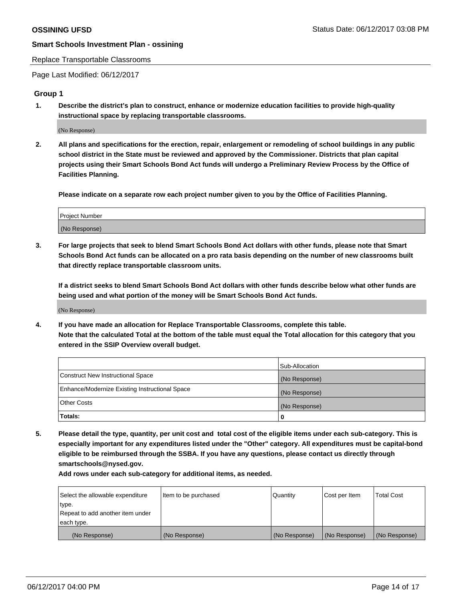#### Replace Transportable Classrooms

Page Last Modified: 06/12/2017

## **Group 1**

**1. Describe the district's plan to construct, enhance or modernize education facilities to provide high-quality instructional space by replacing transportable classrooms.**

(No Response)

**2. All plans and specifications for the erection, repair, enlargement or remodeling of school buildings in any public school district in the State must be reviewed and approved by the Commissioner. Districts that plan capital projects using their Smart Schools Bond Act funds will undergo a Preliminary Review Process by the Office of Facilities Planning.**

**Please indicate on a separate row each project number given to you by the Office of Facilities Planning.**

| Project Number |  |
|----------------|--|
| (No Response)  |  |

**3. For large projects that seek to blend Smart Schools Bond Act dollars with other funds, please note that Smart Schools Bond Act funds can be allocated on a pro rata basis depending on the number of new classrooms built that directly replace transportable classroom units.**

**If a district seeks to blend Smart Schools Bond Act dollars with other funds describe below what other funds are being used and what portion of the money will be Smart Schools Bond Act funds.**

(No Response)

**4. If you have made an allocation for Replace Transportable Classrooms, complete this table. Note that the calculated Total at the bottom of the table must equal the Total allocation for this category that you entered in the SSIP Overview overall budget.**

|                                                | Sub-Allocation |
|------------------------------------------------|----------------|
| Construct New Instructional Space              | (No Response)  |
| Enhance/Modernize Existing Instructional Space | (No Response)  |
| Other Costs                                    | (No Response)  |
| Totals:                                        | 0              |

**5. Please detail the type, quantity, per unit cost and total cost of the eligible items under each sub-category. This is especially important for any expenditures listed under the "Other" category. All expenditures must be capital-bond eligible to be reimbursed through the SSBA. If you have any questions, please contact us directly through smartschools@nysed.gov.**

| Select the allowable expenditure | Item to be purchased | Quantity      | Cost per Item | <b>Total Cost</b> |
|----------------------------------|----------------------|---------------|---------------|-------------------|
| type.                            |                      |               |               |                   |
| Repeat to add another item under |                      |               |               |                   |
| each type.                       |                      |               |               |                   |
| (No Response)                    | (No Response)        | (No Response) | (No Response) | (No Response)     |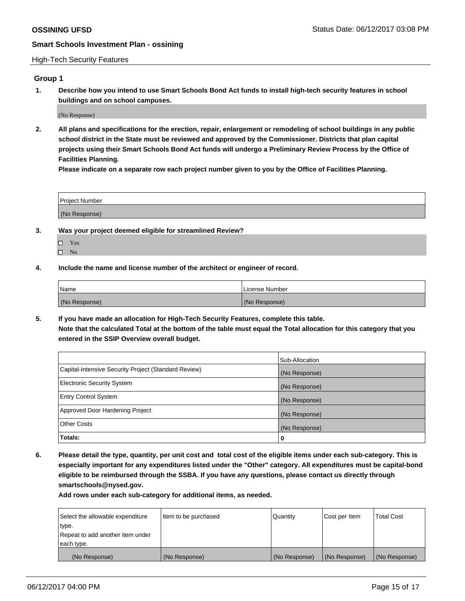#### High-Tech Security Features

# **Group 1**

**1. Describe how you intend to use Smart Schools Bond Act funds to install high-tech security features in school buildings and on school campuses.**

(No Response)

**2. All plans and specifications for the erection, repair, enlargement or remodeling of school buildings in any public school district in the State must be reviewed and approved by the Commissioner. Districts that plan capital projects using their Smart Schools Bond Act funds will undergo a Preliminary Review Process by the Office of Facilities Planning.** 

**Please indicate on a separate row each project number given to you by the Office of Facilities Planning.**

| <b>Project Number</b> |  |
|-----------------------|--|
| (No Response)         |  |

- **3. Was your project deemed eligible for streamlined Review?**
	- Yes  $\square$  No
- **4. Include the name and license number of the architect or engineer of record.**

| <b>Name</b>   | License Number |
|---------------|----------------|
| (No Response) | (No Response)  |

**5. If you have made an allocation for High-Tech Security Features, complete this table. Note that the calculated Total at the bottom of the table must equal the Total allocation for this category that you entered in the SSIP Overview overall budget.**

|                                                      | Sub-Allocation |
|------------------------------------------------------|----------------|
| Capital-Intensive Security Project (Standard Review) | (No Response)  |
| <b>Electronic Security System</b>                    | (No Response)  |
| <b>Entry Control System</b>                          | (No Response)  |
| Approved Door Hardening Project                      | (No Response)  |
| <b>Other Costs</b>                                   | (No Response)  |
| Totals:                                              | $\mathbf 0$    |

**6. Please detail the type, quantity, per unit cost and total cost of the eligible items under each sub-category. This is especially important for any expenditures listed under the "Other" category. All expenditures must be capital-bond eligible to be reimbursed through the SSBA. If you have any questions, please contact us directly through smartschools@nysed.gov.**

| Select the allowable expenditure | Item to be purchased | Quantity      | Cost per Item | <b>Total Cost</b> |
|----------------------------------|----------------------|---------------|---------------|-------------------|
| type.                            |                      |               |               |                   |
| Repeat to add another item under |                      |               |               |                   |
| each type.                       |                      |               |               |                   |
| (No Response)                    | (No Response)        | (No Response) | (No Response) | (No Response)     |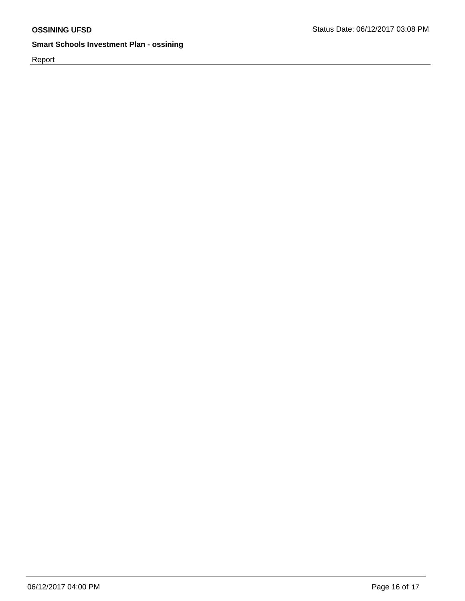Report